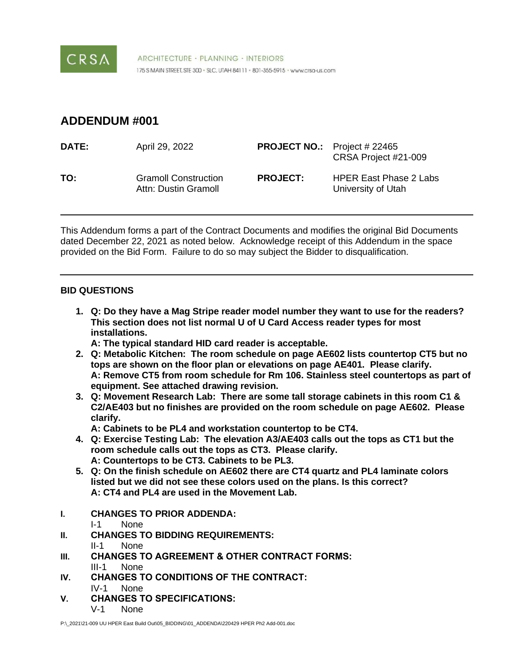

ARCHITECTURE · PLANNING · INTERIORS 175 S MAIN STREET, STE 300 · SLC, UTAH 84111 · 801-355-5915 · www.crsa-us.com

# **ADDENDUM #001**

| <b>DATE:</b> | April 29, 2022                                      | <b>PROJECT NO.:</b> Project # 22465 | CRSA Project #21-009                                |
|--------------|-----------------------------------------------------|-------------------------------------|-----------------------------------------------------|
| TO:          | <b>Gramoll Construction</b><br>Attn: Dustin Gramoll | <b>PROJECT:</b>                     | <b>HPER East Phase 2 Labs</b><br>University of Utah |

This Addendum forms a part of the Contract Documents and modifies the original Bid Documents dated December 22, 2021 as noted below. Acknowledge receipt of this Addendum in the space provided on the Bid Form. Failure to do so may subject the Bidder to disqualification.

# **BID QUESTIONS**

**1. Q: Do they have a Mag Stripe reader model number they want to use for the readers? This section does not list normal U of U Card Access reader types for most installations.**

**A: The typical standard HID card reader is acceptable.**

- **2. Q: Metabolic Kitchen: The room schedule on page AE602 lists countertop CT5 but no tops are shown on the floor plan or elevations on page AE401. Please clarify. A: Remove CT5 from room schedule for Rm 106. Stainless steel countertops as part of equipment. See attached drawing revision.**
- **3. Q: Movement Research Lab: There are some tall storage cabinets in this room C1 & C2/AE403 but no finishes are provided on the room schedule on page AE602. Please clarify.**

**A: Cabinets to be PL4 and workstation countertop to be CT4.**

- **4. Q: Exercise Testing Lab: The elevation A3/AE403 calls out the tops as CT1 but the room schedule calls out the tops as CT3. Please clarify. A: Countertops to be CT3. Cabinets to be PL3.**
- **5. Q: On the finish schedule on AE602 there are CT4 quartz and PL4 laminate colors listed but we did not see these colors used on the plans. Is this correct? A: CT4 and PL4 are used in the Movement Lab.**
- **I. CHANGES TO PRIOR ADDENDA:**
	- I-1 None
- **II. CHANGES TO BIDDING REQUIREMENTS:**
	- II-1 None
- **III. CHANGES TO AGREEMENT & OTHER CONTRACT FORMS:** III-1 None
- **IV. CHANGES TO CONDITIONS OF THE CONTRACT:** IV-1 None
- **V. CHANGES TO SPECIFICATIONS:** V-1 None

P:\ 2021\21-009 UU HPER East Build Out\05\_BIDDING\01\_ADDENDA\220429 HPER Ph2 Add-001.doc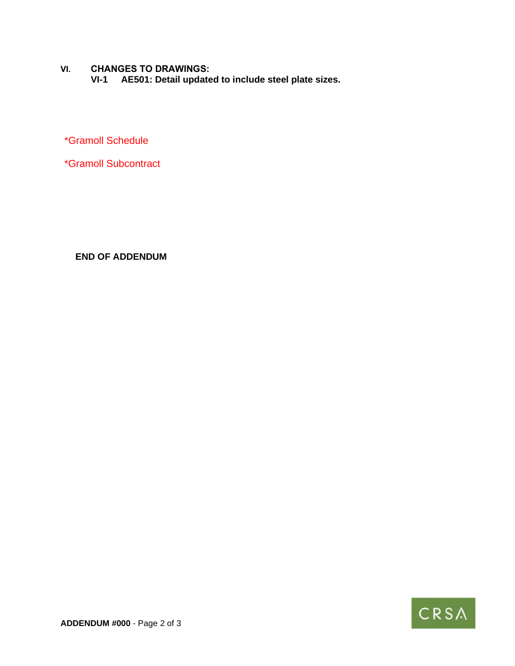**VI. CHANGES TO DRAWINGS: VI-1 AE501: Detail updated to include steel plate sizes.** 

\*Gramoll Schedule

\*Gramoll Subcontract

**END OF ADDENDUM**

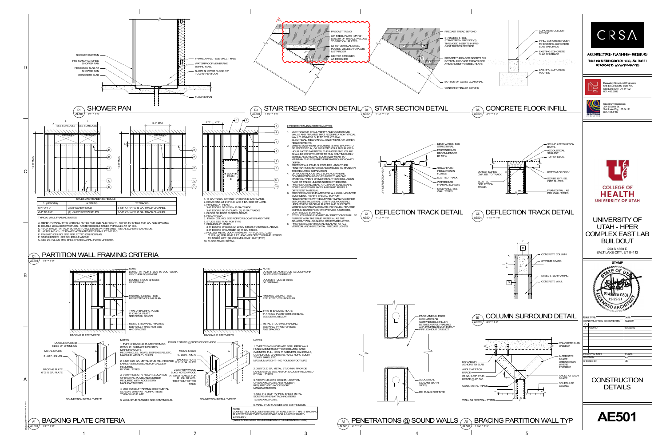



- 
- 
- 
- 
- 
- 
- 
- 

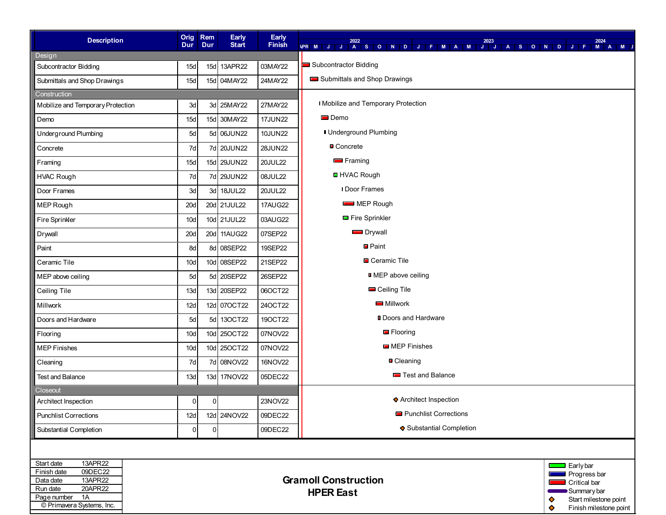| <b>Description</b>                             | <b>Dur</b>                                     | Orig Rem<br>Dur | Early<br><b>Start</b> | Early<br>Finish | 2022<br>2023<br>2024<br>TASONOJFIMAMUJJASONOJFI<br><b>APR M J J</b><br>M A M J |  |
|------------------------------------------------|------------------------------------------------|-----------------|-----------------------|-----------------|--------------------------------------------------------------------------------|--|
| Design                                         |                                                |                 |                       |                 |                                                                                |  |
| Subcontractor Bidding                          | 15d                                            |                 | 15d 13APR22           | 03MAY22         | Subcontractor Bidding                                                          |  |
| Submittals and Shop Drawings                   | 15d                                            |                 | 15d 04MAY22           | 24MAY22         | Submittals and Shop Drawings                                                   |  |
| Construction                                   |                                                |                 |                       |                 |                                                                                |  |
| Mobilize and Temporary Protection              | 3d                                             |                 | 3d 25MAY22            | 27MAY22         | I Mobilize and Temporary Protection                                            |  |
| Demo                                           | 15d                                            |                 | 15d 30MAY22           | <b>17JUN22</b>  | $\blacksquare$ Demo                                                            |  |
| <b>Underground Plumbing</b>                    | 5d                                             |                 | 5d 06JUN22            | <b>10JUN22</b>  | I Underground Plumbing                                                         |  |
| Concrete                                       | 7d                                             |                 | 7d 20JUN22            | 28JUN22         | <b>■</b> Concrete                                                              |  |
| Framing                                        | 15d                                            |                 | 15d 29JUN22           | <b>20JUL22</b>  | $\blacksquare$ Framing                                                         |  |
| <b>HVAC Rough</b>                              | 7d                                             |                 | 7d 29JUN22            | 08JUL22         | <b>□</b> HVAC Rough                                                            |  |
| Door Frames                                    | 3d                                             |                 | 3d 18JUL22            | 20JUL22         | <b>I</b> Door Frames                                                           |  |
| MEP Rough                                      | 20d                                            |                 | 20d 21JUL22           | <b>17AUG22</b>  | <b>EXAMPLE PROUGH</b>                                                          |  |
| Fire Sprinkler                                 | 10d                                            |                 | 10d 21JUL22           | 03AUG22         | Fire Sprinkler                                                                 |  |
| Drywall                                        | 20d                                            |                 | 20d 11AUG22           | 07SEP22         | <b>Drywall</b>                                                                 |  |
| Paint                                          | 8d                                             |                 | 8d 08SEP22            | 19SEP22         | <b>■</b> Paint                                                                 |  |
| Ceramic Tile                                   | 10d                                            |                 | 10d 08SEP22           | 21SEP22         | ■ Ceramic Tile                                                                 |  |
| MEP above ceiling                              | 5d                                             |                 | 5d 20SEP22            | 26SEP22         | <b>I</b> MEP above ceiling                                                     |  |
| Ceiling Tile                                   | 13d                                            |                 | 13d 20SEP22           | 06OCT22         | Ceiling Tile                                                                   |  |
| Millwork                                       | 12d                                            |                 | 12d 07OCT22           | 24OCT22         | Millwork                                                                       |  |
| Doors and Hardware                             | 5d                                             |                 | 5d 13OCT22            | 19OCT22         | <b>D</b> Doors and Hardware                                                    |  |
| Flooring                                       | 10d                                            |                 | 10d 25OCT22           | 07NOV22         | $\blacksquare$ Flooring                                                        |  |
| <b>MEP Finishes</b>                            | 10d                                            |                 | 10d 25OCT22           | 07NOV22         | <b>MEP</b> Finishes                                                            |  |
| Cleaning                                       | 7d                                             |                 | 7d 08NOV22            | 16NOV22         | <b>Cleaning</b>                                                                |  |
| <b>Test and Balance</b>                        | 13d                                            |                 | 13d 17NOV22           | 05DEC22         | Test and Balance                                                               |  |
| Closeout                                       |                                                |                 |                       |                 |                                                                                |  |
| Architect Inspection                           | 0                                              | 0               |                       | 23NOV22         | ♦ Architect Inspection                                                         |  |
| <b>Punchlist Corrections</b>                   | 12d                                            |                 | 12d 24NOV22           | 09DEC22         | <b>Punchlist Corrections</b>                                                   |  |
| Substantial Completion                         | $\overline{0}$                                 | 0               |                       | 09DEC22         | ♦ Substantial Completion                                                       |  |
|                                                |                                                |                 |                       |                 |                                                                                |  |
| 13APR22<br>Start date<br>$\Box$ Early bar      |                                                |                 |                       |                 |                                                                                |  |
| 09DEC22<br>Finish date<br>13APR22<br>Data date | Progress bar<br><b>Gramoll Construction</b>    |                 |                       |                 |                                                                                |  |
| 20APR22<br>Run date                            | Critical bar<br>Summary bar                    |                 |                       |                 |                                                                                |  |
| Page number<br>1A                              | <b>HPER East</b><br>Start milestone point<br>♦ |                 |                       |                 |                                                                                |  |
| © Primavera Systems, Inc.                      | ♦<br>Finish milestone point                    |                 |                       |                 |                                                                                |  |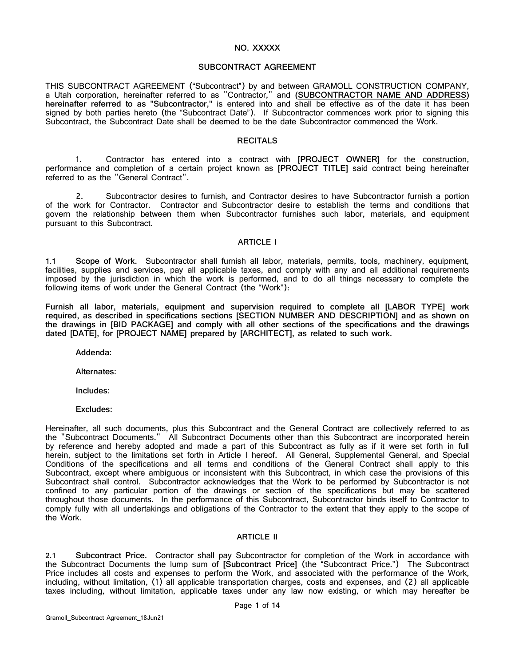#### **NO. XXXXX**

#### **SUBCONTRACT AGREEMENT**

THIS SUBCONTRACT AGREEMENT ("Subcontract") by and between GRAMOLL CONSTRUCTION COMPANY, a Utah corporation, hereinafter referred to as "Contractor," and **(SUBCONTRACTOR NAME AND ADDRESS) hereinafter referred to as "Subcontractor,"** is entered into and shall be effective as of the date it has been signed by both parties hereto (the "Subcontract Date"). If Subcontractor commences work prior to signing this Subcontract, the Subcontract Date shall be deemed to be the date Subcontractor commenced the Work.

#### **RECITALS**

1. Contractor has entered into a contract with **[PROJECT OWNER]** for the construction, performance and completion of a certain project known as **[PROJECT TITLE]** said contract being hereinafter referred to as the "General Contract".

2. Subcontractor desires to furnish, and Contractor desires to have Subcontractor furnish a portion of the work for Contractor. Contractor and Subcontractor desire to establish the terms and conditions that govern the relationship between them when Subcontractor furnishes such labor, materials, and equipment pursuant to this Subcontract.

#### **ARTICLE I**

**1.1 Scope of Work.** Subcontractor shall furnish all labor, materials, permits, tools, machinery, equipment, facilities, supplies and services, pay all applicable taxes, and comply with any and all additional requirements imposed by the jurisdiction in which the work is performed, and to do all things necessary to complete the following items of work under the General Contract (the "Work"):

**Furnish all labor, materials, equipment and supervision required to complete all [LABOR TYPE] work required, as described in specifications sections [SECTION NUMBER AND DESCRIPTION] and as shown on the drawings in [BID PACKAGE] and comply with all other sections of the specifications and the drawings dated [DATE], for [PROJECT NAME] prepared by [ARCHITECT], as related to such work.**

**Addenda:**

**Alternates:**

**Includes:**

**Excludes:**

Hereinafter, all such documents, plus this Subcontract and the General Contract are collectively referred to as the "Subcontract Documents." All Subcontract Documents other than this Subcontract are incorporated herein by reference and hereby adopted and made a part of this Subcontract as fully as if it were set forth in full herein, subject to the limitations set forth in Article I hereof. All General, Supplemental General, and Special Conditions of the specifications and all terms and conditions of the General Contract shall apply to this Subcontract, except where ambiguous or inconsistent with this Subcontract, in which case the provisions of this Subcontract shall control. Subcontractor acknowledges that the Work to be performed by Subcontractor is not confined to any particular portion of the drawings or section of the specifications but may be scattered throughout those documents. In the performance of this Subcontract, Subcontractor binds itself to Contractor to comply fully with all undertakings and obligations of the Contractor to the extent that they apply to the scope of the Work.

### **ARTICLE II**

**2.1 Subcontract Price.** Contractor shall pay Subcontractor for completion of the Work in accordance with the Subcontract Documents the lump sum of **[Subcontract Price]** (the "Subcontract Price.") The Subcontract Price includes all costs and expenses to perform the Work, and associated with the performance of the Work, including, without limitation, (1) all applicable transportation charges, costs and expenses, and (2) all applicable taxes including, without limitation, applicable taxes under any law now existing, or which may hereafter be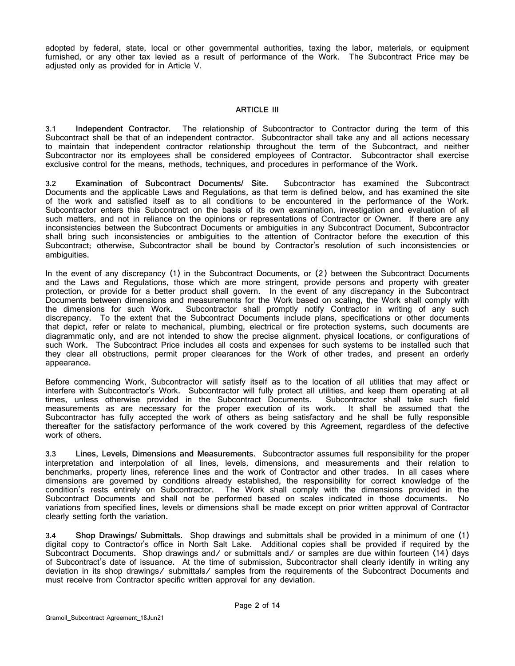adopted by federal, state, local or other governmental authorities, taxing the labor, materials, or equipment furnished, or any other tax levied as a result of performance of the Work. The Subcontract Price may be adjusted only as provided for in [Article V.](#page-8-0)

#### **ARTICLE III**

**3.1 Independent Contractor.** The relationship of Subcontractor to Contractor during the term of this Subcontract shall be that of an independent contractor. Subcontractor shall take any and all actions necessary to maintain that independent contractor relationship throughout the term of the Subcontract, and neither Subcontractor nor its employees shall be considered employees of Contractor. Subcontractor shall exercise exclusive control for the means, methods, techniques, and procedures in performance of the Work.

**3.2 Examination of Subcontract Documents/ Site.** Subcontractor has examined the Subcontract Documents and the applicable Laws and Regulations, as that term is defined below, and has examined the site of the work and satisfied itself as to all conditions to be encountered in the performance of the Work. Subcontractor enters this Subcontract on the basis of its own examination, investigation and evaluation of all such matters, and not in reliance on the opinions or representations of Contractor or Owner. If there are any inconsistencies between the Subcontract Documents or ambiguities in any Subcontract Document, Subcontractor shall bring such inconsistencies or ambiguities to the attention of Contractor before the execution of this Subcontract; otherwise, Subcontractor shall be bound by Contractor's resolution of such inconsistencies or ambiguities.

In the event of any discrepancy (1) in the Subcontract Documents, or (2) between the Subcontract Documents and the Laws and Regulations, those which are more stringent, provide persons and property with greater protection, or provide for a better product shall govern. In the event of any discrepancy in the Subcontract Documents between dimensions and measurements for the Work based on scaling, the Work shall comply with the dimensions for such Work. Subcontractor shall promptly notify Contractor in writing of any such Subcontractor shall promptly notify Contractor in writing of any such discrepancy. To the extent that the Subcontract Documents include plans, specifications or other documents that depict, refer or relate to mechanical, plumbing, electrical or fire protection systems, such documents are diagrammatic only, and are not intended to show the precise alignment, physical locations, or configurations of such Work. The Subcontract Price includes all costs and expenses for such systems to be installed such that they clear all obstructions, permit proper clearances for the Work of other trades, and present an orderly appearance.

Before commencing Work, Subcontractor will satisfy itself as to the location of all utilities that may affect or interfere with Subcontractor's Work. Subcontractor will fully protect all utilities, and keep them operating at all times, unless otherwise provided in the Subcontract Documents. Subcontractor shall take such field measurements as are necessary for the proper execution of its work. It shall be assumed that the Subcontractor has fully accepted the work of others as being satisfactory and he shall be fully responsible thereafter for the satisfactory performance of the work covered by this Agreement, regardless of the defective work of others.

**3.3 Lines, Levels, Dimensions and Measurements.** Subcontractor assumes full responsibility for the proper interpretation and interpolation of all lines, levels, dimensions, and measurements and their relation to benchmarks, property lines, reference lines and the work of Contractor and other trades. In all cases where dimensions are governed by conditions already established, the responsibility for correct knowledge of the condition's rests entirely on Subcontractor. The Work shall comply with the dimensions provided in the Subcontract Documents and shall not be performed based on scales indicated in those documents. variations from specified lines, levels or dimensions shall be made except on prior written approval of Contractor clearly setting forth the variation.

**3.4 Shop Drawings/ Submittals.** Shop drawings and submittals shall be provided in a minimum of one (1) digital copy to Contractor's office in North Salt Lake. Additional copies shall be provided if required by the Subcontract Documents. Shop drawings and/ or submittals and/ or samples are due within fourteen (14) days of Subcontract's date of issuance. At the time of submission, Subcontractor shall clearly identify in writing any deviation in its shop drawings/ submittals/ samples from the requirements of the Subcontract Documents and must receive from Contractor specific written approval for any deviation.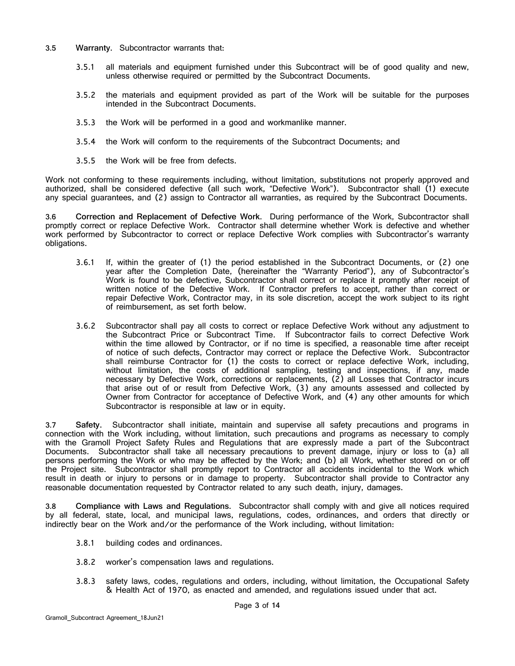- **3.5 Warranty.** Subcontractor warrants that:
	- 3.5.1 all materials and equipment furnished under this Subcontract will be of good quality and new, unless otherwise required or permitted by the Subcontract Documents.
	- 3.5.2 the materials and equipment provided as part of the Work will be suitable for the purposes intended in the Subcontract Documents.
	- 3.5.3 the Work will be performed in a good and workmanlike manner.
	- 3.5.4 the Work will conform to the requirements of the Subcontract Documents; and
	- 3.5.5 the Work will be free from defects.

Work not conforming to these requirements including, without limitation, substitutions not properly approved and authorized, shall be considered defective (all such work, "Defective Work"). Subcontractor shall (1) execute any special guarantees, and (2) assign to Contractor all warranties, as required by the Subcontract Documents.

**3.6 Correction and Replacement of Defective Work.** During performance of the Work, Subcontractor shall promptly correct or replace Defective Work. Contractor shall determine whether Work is defective and whether work performed by Subcontractor to correct or replace Defective Work complies with Subcontractor's warranty obligations.

- 3.6.1 If, within the greater of (1) the period established in the Subcontract Documents, or (2) one year after the Completion Date, (hereinafter the "Warranty Period"), any of Subcontractor's Work is found to be defective, Subcontractor shall correct or replace it promptly after receipt of written notice of the Defective Work. If Contractor prefers to accept, rather than correct or repair Defective Work, Contractor may, in its sole discretion, accept the work subject to its right of reimbursement, as set forth below.
- 3.6.2 Subcontractor shall pay all costs to correct or replace Defective Work without any adjustment to the Subcontract Price or Subcontract Time. If Subcontractor fails to correct Defective Work within the time allowed by Contractor, or if no time is specified, a reasonable time after receipt of notice of such defects, Contractor may correct or replace the Defective Work. Subcontractor shall reimburse Contractor for (1) the costs to correct or replace defective Work, including, without limitation, the costs of additional sampling, testing and inspections, if any, made necessary by Defective Work, corrections or replacements, (2) all Losses that Contractor incurs that arise out of or result from Defective Work, (3) any amounts assessed and collected by Owner from Contractor for acceptance of Defective Work, and (4) any other amounts for which Subcontractor is responsible at law or in equity.

**3.7 Safety.** Subcontractor shall initiate, maintain and supervise all safety precautions and programs in connection with the Work including, without limitation, such precautions and programs as necessary to comply with the Gramoll Project Safety Rules and Regulations that are expressly made a part of the Subcontract Documents. Subcontractor shall take all necessary precautions to prevent damage, injury or loss to (a) all persons performing the Work or who may be affected by the Work; and (b) all Work, whether stored on or off the Project site. Subcontractor shall promptly report to Contractor all accidents incidental to the Work which result in death or injury to persons or in damage to property. Subcontractor shall provide to Contractor any reasonable documentation requested by Contractor related to any such death, injury, damages.

**3.8 Compliance with Laws and Regulations.** Subcontractor shall comply with and give all notices required by all federal, state, local, and municipal laws, regulations, codes, ordinances, and orders that directly or indirectly bear on the Work and/or the performance of the Work including, without limitation:

- 3.8.1 building codes and ordinances.
- 3.8.2 worker's compensation laws and regulations.
- 3.8.3 safety laws, codes, regulations and orders, including, without limitation, the Occupational Safety & Health Act of 1970, as enacted and amended, and regulations issued under that act.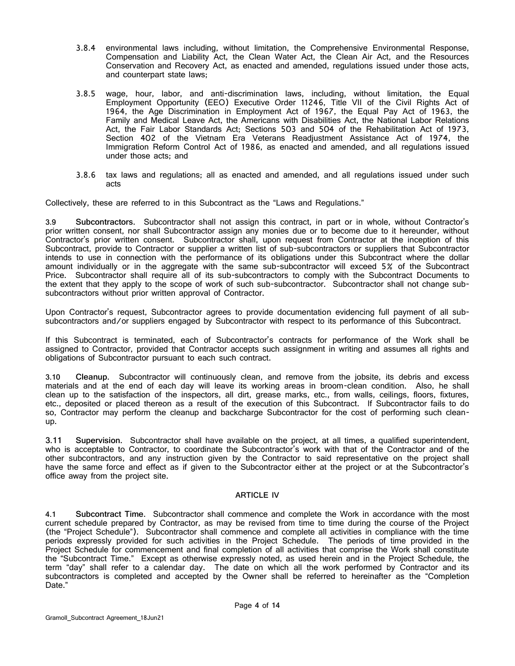- 3.8.4 environmental laws including, without limitation, the Comprehensive Environmental Response, Compensation and Liability Act, the Clean Water Act, the Clean Air Act, and the Resources Conservation and Recovery Act, as enacted and amended, regulations issued under those acts, and counterpart state laws;
- 3.8.5 wage, hour, labor, and anti-discrimination laws, including, without limitation, the Equal Employment Opportunity (EEO) Executive Order 11246, Title VII of the Civil Rights Act of 1964, the Age Discrimination in Employment Act of 1967, the Equal Pay Act of 1963, the Family and Medical Leave Act, the Americans with Disabilities Act, the National Labor Relations Act, the Fair Labor Standards Act; Sections 503 and 504 of the Rehabilitation Act of 1973, Section 402 of the Vietnam Era Veterans Readjustment Assistance Act of 1974, the Immigration Reform Control Act of 1986, as enacted and amended, and all regulations issued under those acts; and
- 3.8.6 tax laws and regulations; all as enacted and amended, and all regulations issued under such acts

Collectively, these are referred to in this Subcontract as the "Laws and Regulations."

<span id="page-7-0"></span>**3.9 Subcontractors.** Subcontractor shall not assign this contract, in part or in whole, without Contractor's prior written consent, nor shall Subcontractor assign any monies due or to become due to it hereunder, without Contractor's prior written consent. Subcontractor shall, upon request from Contractor at the inception of this Subcontract, provide to Contractor or supplier a written list of sub-subcontractors or suppliers that Subcontractor intends to use in connection with the performance of its obligations under this Subcontract where the dollar amount individually or in the aggregate with the same sub-subcontractor will exceed 5% of the Subcontract Price. Subcontractor shall require all of its sub-subcontractors to comply with the Subcontract Documents to the extent that they apply to the scope of work of such sub-subcontractor. Subcontractor shall not change subsubcontractors without prior written approval of Contractor.

Upon Contractor's request, Subcontractor agrees to provide documentation evidencing full payment of all subsubcontractors and/or suppliers engaged by Subcontractor with respect to its performance of this Subcontract.

If this Subcontract is terminated, each of Subcontractor's contracts for performance of the Work shall be assigned to Contractor, provided that Contractor accepts such assignment in writing and assumes all rights and obligations of Subcontractor pursuant to each such contract.

**3.10 Cleanup.** Subcontractor will continuously clean, and remove from the jobsite, its debris and excess materials and at the end of each day will leave its working areas in broom-clean condition. Also, he shall clean up to the satisfaction of the inspectors, all dirt, grease marks, etc., from walls, ceilings, floors, fixtures, etc., deposited or placed thereon as a result of the execution of this Subcontract. If Subcontractor fails to do so, Contractor may perform the cleanup and backcharge Subcontractor for the cost of performing such cleanup.

**3.11 Supervision.** Subcontractor shall have available on the project, at all times, a qualified superintendent, who is acceptable to Contractor, to coordinate the Subcontractor's work with that of the Contractor and of the other subcontractors, and any instruction given by the Contractor to said representative on the project shall have the same force and effect as if given to the Subcontractor either at the project or at the Subcontractor's office away from the project site.

#### **ARTICLE IV**

**4.1 Subcontract Time.** Subcontractor shall commence and complete the Work in accordance with the most current schedule prepared by Contractor, as may be revised from time to time during the course of the Project (the "Project Schedule"). Subcontractor shall commence and complete all activities in compliance with the time periods expressly provided for such activities in the Project Schedule. The periods of time provided in the Project Schedule for commencement and final completion of all activities that comprise the Work shall constitute the "Subcontract Time." Except as otherwise expressly noted, as used herein and in the Project Schedule, the term "day" shall refer to a calendar day. The date on which all the work performed by Contractor and its subcontractors is completed and accepted by the Owner shall be referred to hereinafter as the "Completion Date."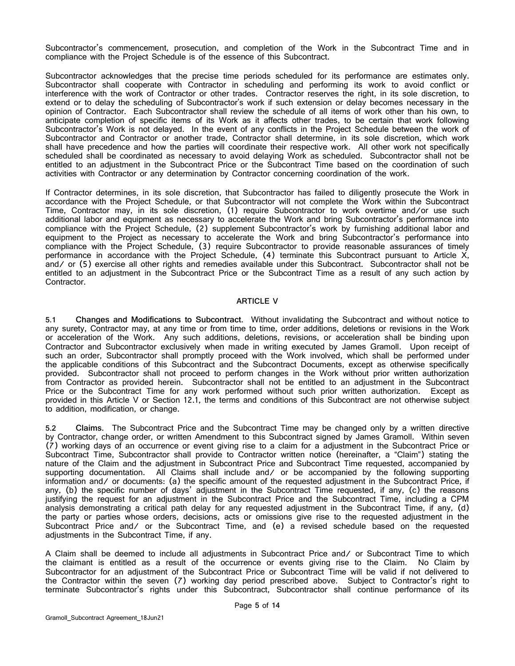Subcontractor's commencement, prosecution, and completion of the Work in the Subcontract Time and in compliance with the Project Schedule is of the essence of this Subcontract.

Subcontractor acknowledges that the precise time periods scheduled for its performance are estimates only. Subcontractor shall cooperate with Contractor in scheduling and performing its work to avoid conflict or interference with the work of Contractor or other trades. Contractor reserves the right, in its sole discretion, to extend or to delay the scheduling of Subcontractor's work if such extension or delay becomes necessary in the opinion of Contractor. Each Subcontractor shall review the schedule of all items of work other than his own, to anticipate completion of specific items of its Work as it affects other trades, to be certain that work following Subcontractor's Work is not delayed. In the event of any conflicts in the Project Schedule between the work of Subcontractor and Contractor or another trade, Contractor shall determine, in its sole discretion, which work shall have precedence and how the parties will coordinate their respective work. All other work not specifically scheduled shall be coordinated as necessary to avoid delaying Work as scheduled. Subcontractor shall not be entitled to an adjustment in the Subcontract Price or the Subcontract Time based on the coordination of such activities with Contractor or any determination by Contractor concerning coordination of the work.

If Contractor determines, in its sole discretion, that Subcontractor has failed to diligently prosecute the Work in accordance with the Project Schedule, or that Subcontractor will not complete the Work within the Subcontract Time, Contractor may, in its sole discretion, (1) require Subcontractor to work overtime and/or use such additional labor and equipment as necessary to accelerate the Work and bring Subcontractor's performance into compliance with the Project Schedule, (2) supplement Subcontractor's work by furnishing additional labor and equipment to the Project as necessary to accelerate the Work and bring Subcontractor's performance into compliance with the Project Schedule, (3) require Subcontractor to provide reasonable assurances of timely performance in accordance with the Project Schedule, (4) terminate this Subcontract pursuant to [Article X,](#page-14-0) and/ or (5) exercise all other rights and remedies available under this Subcontract. Subcontractor shall not be entitled to an adjustment in the Subcontract Price or the Subcontract Time as a result of any such action by Contractor.

#### **ARTICLE V**

<span id="page-8-0"></span>**5.1 Changes and Modifications to Subcontract.** Without invalidating the Subcontract and without notice to any surety, Contractor may, at any time or from time to time, order additions, deletions or revisions in the Work or acceleration of the Work. Any such additions, deletions, revisions, or acceleration shall be binding upon Contractor and Subcontractor exclusively when made in writing executed by James Gramoll. Upon receipt of such an order, Subcontractor shall promptly proceed with the Work involved, which shall be performed under the applicable conditions of this Subcontract and the Subcontract Documents, except as otherwise specifically provided. Subcontractor shall not proceed to perform changes in the Work without prior written authorization from Contractor as provided herein. Subcontractor shall not be entitled to an adjustment in the Subcontract Price or the Subcontract Time for any work performed without such prior written authorization. Except as provided in this [Article V](#page-8-0) or Section [12.1,](#page-16-0) the terms and conditions of this Subcontract are not otherwise subject to addition, modification, or change.

<span id="page-8-1"></span>**5.2 Claims.** The Subcontract Price and the Subcontract Time may be changed only by a written directive by Contractor, change order, or written Amendment to this Subcontract signed by James Gramoll. Within seven (7) working days of an occurrence or event giving rise to a claim for a adjustment in the Subcontract Price or Subcontract Time, Subcontractor shall provide to Contractor written notice (hereinafter, a "Claim") stating the nature of the Claim and the adjustment in Subcontract Price and Subcontract Time requested, accompanied by supporting documentation. All Claims shall include and/ or be accompanied by the following supporting information and/ or documents: (a) the specific amount of the requested adjustment in the Subcontract Price, if any, (b) the specific number of days' adjustment in the Subcontract Time requested, if any, (c) the reasons justifying the request for an adjustment in the Subcontract Price and the Subcontract Time, including a CPM analysis demonstrating a critical path delay for any requested adjustment in the Subcontract Time, if any, (d) the party or parties whose orders, decisions, acts or omissions give rise to the requested adjustment in the Subcontract Price and/ or the Subcontract Time, and (e) a revised schedule based on the requested adjustments in the Subcontract Time, if any.

A Claim shall be deemed to include all adjustments in Subcontract Price and/ or Subcontract Time to which the claimant is entitled as a result of the occurrence or events giving rise to the Claim. No Claim by Subcontractor for an adjustment of the Subcontract Price or Subcontract Time will be valid if not delivered to the Contractor within the seven (7) working day period prescribed above. Subject to Contractor's right to terminate Subcontractor's rights under this Subcontract, Subcontractor shall continue performance of its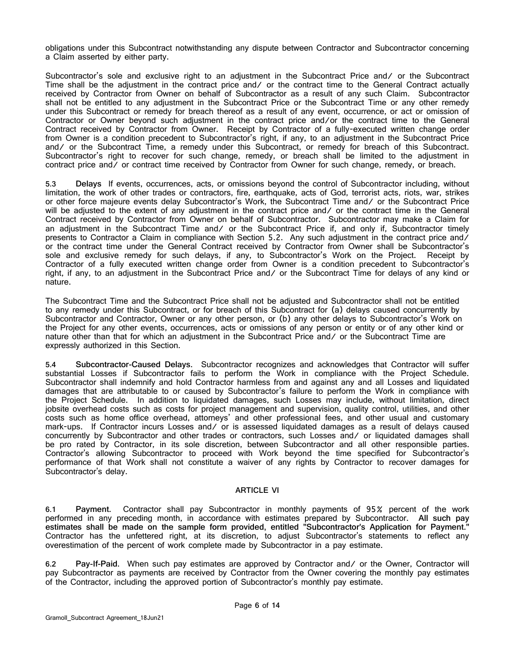obligations under this Subcontract notwithstanding any dispute between Contractor and Subcontractor concerning a Claim asserted by either party.

Subcontractor's sole and exclusive right to an adjustment in the Subcontract Price and/ or the Subcontract Time shall be the adjustment in the contract price and/ or the contract time to the General Contract actually received by Contractor from Owner on behalf of Subcontractor as a result of any such Claim. Subcontractor shall not be entitled to any adjustment in the Subcontract Price or the Subcontract Time or any other remedy under this Subcontract or remedy for breach thereof as a result of any event, occurrence, or act or omission of Contractor or Owner beyond such adjustment in the contract price and/or the contract time to the General Contract received by Contractor from Owner. Receipt by Contractor of a fully-executed written change order from Owner is a condition precedent to Subcontractor's right, if any, to an adjustment in the Subcontract Price and/ or the Subcontract Time, a remedy under this Subcontract, or remedy for breach of this Subcontract. Subcontractor's right to recover for such change, remedy, or breach shall be limited to the adjustment in contract price and or contract time received by Contractor from Owner for such change, remedy, or breach.

**5.3 Delays** If events, occurrences, acts, or omissions beyond the control of Subcontractor including, without limitation, the work of other trades or contractors, fire, earthquake, acts of God, terrorist acts, riots, war, strikes or other force majeure events delay Subcontractor's Work, the Subcontract Time and/ or the Subcontract Price will be adjusted to the extent of any adjustment in the contract price and/ or the contract time in the General Contract received by Contractor from Owner on behalf of Subcontractor. Subcontractor may make a Claim for an adjustment in the Subcontract Time and/ or the Subcontract Price if, and only if, Subcontractor timely presents to Contractor a Claim in compliance with Section [5.2.](#page-8-1) Any such adjustment in the contract price and/ or the contract time under the General Contract received by Contractor from Owner shall be Subcontractor's sole and exclusive remedy for such delays, if any, to Subcontractor's Work on the Project. Receipt by Contractor of a fully executed written change order from Owner is a condition precedent to Subcontractor's right, if any, to an adjustment in the Subcontract Price and/ or the Subcontract Time for delays of any kind or nature.

The Subcontract Time and the Subcontract Price shall not be adjusted and Subcontractor shall not be entitled to any remedy under this Subcontract, or for breach of this Subcontract for (a) delays caused concurrently by Subcontractor and Contractor, Owner or any other person, or (b) any other delays to Subcontractor's Work on the Project for any other events, occurrences, acts or omissions of any person or entity or of any other kind or nature other than that for which an adjustment in the Subcontract Price and/ or the Subcontract Time are expressly authorized in this Section.

**5.4 Subcontractor-Caused Delays.** Subcontractor recognizes and acknowledges that Contractor will suffer substantial Losses if Subcontractor fails to perform the Work in compliance with the Project Schedule. Subcontractor shall indemnify and hold Contractor harmless from and against any and all Losses and liquidated damages that are attributable to or caused by Subcontractor's failure to perform the Work in compliance with the Project Schedule. In addition to liquidated damages, such Losses may include, without limitation, direct jobsite overhead costs such as costs for project management and supervision, quality control, utilities, and other costs such as home office overhead, attorneys' and other professional fees, and other usual and customary mark-ups. If Contractor incurs Losses and/ or is assessed liquidated damages as a result of delays caused concurrently by Subcontractor and other trades or contractors, such Losses and/ or liquidated damages shall be pro rated by Contractor, in its sole discretion, between Subcontractor and all other responsible parties. Contractor's allowing Subcontractor to proceed with Work beyond the time specified for Subcontractor's performance of that Work shall not constitute a waiver of any rights by Contractor to recover damages for Subcontractor's delay.

#### **ARTICLE VI**

**6.1 Payment.** Contractor shall pay Subcontractor in monthly payments of 95% percent of the work performed in any preceding month, in accordance with estimates prepared by Subcontractor. **All such pay estimates shall be made on the sample form provided, entitled "Subcontractor's Application for Payment."**  Contractor has the unfettered right, at its discretion, to adjust Subcontractor's statements to reflect any overestimation of the percent of work complete made by Subcontractor in a pay estimate.

<span id="page-9-0"></span>**6.2 Pay-If-Paid.** When such pay estimates are approved by Contractor and/ or the Owner, Contractor will pay Subcontractor as payments are received by Contractor from the Owner covering the monthly pay estimates of the Contractor, including the approved portion of Subcontractor's monthly pay estimate.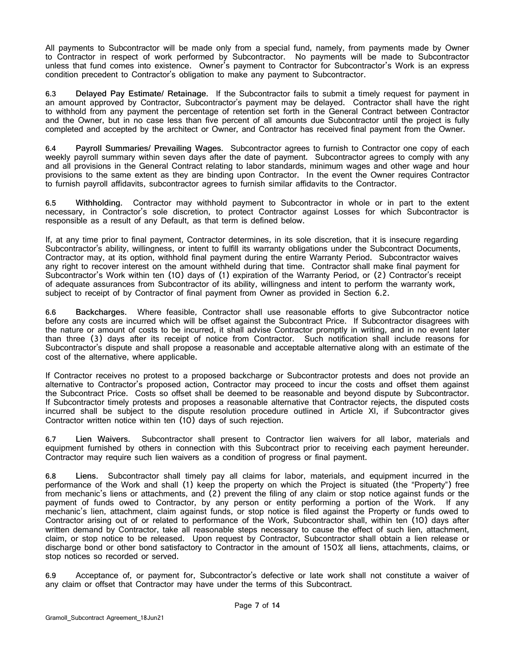All payments to Subcontractor will be made only from a special fund, namely, from payments made by Owner to Contractor in respect of work performed by Subcontractor. No payments will be made to Subcontractor unless that fund comes into existence. Owner's payment to Contractor for Subcontractor's Work is an express condition precedent to Contractor's obligation to make any payment to Subcontractor.

**6.3 Delayed Pay Estimate/ Retainage.** If the Subcontractor fails to submit a timely request for payment in an amount approved by Contractor, Subcontractor's payment may be delayed. Contractor shall have the right to withhold from any payment the percentage of retention set forth in the General Contract between Contractor and the Owner, but in no case less than five percent of all amounts due Subcontractor until the project is fully completed and accepted by the architect or Owner, and Contractor has received final payment from the Owner.

**6.4 Payroll Summaries/ Prevailing Wages.** Subcontractor agrees to furnish to Contractor one copy of each weekly payroll summary within seven days after the date of payment. Subcontractor agrees to comply with any and all provisions in the General Contract relating to labor standards, minimum wages and other wage and hour provisions to the same extent as they are binding upon Contractor. In the event the Owner requires Contractor to furnish payroll affidavits, subcontractor agrees to furnish similar affidavits to the Contractor.

**6.5 Withholding.** Contractor may withhold payment to Subcontractor in whole or in part to the extent necessary, in Contractor's sole discretion, to protect Contractor against Losses for which Subcontractor is responsible as a result of any Default, as that term is defined below.

If, at any time prior to final payment, Contractor determines, in its sole discretion, that it is insecure regarding Subcontractor's ability, willingness, or intent to fulfill its warranty obligations under the Subcontract Documents, Contractor may, at its option, withhold final payment during the entire Warranty Period. Subcontractor waives any right to recover interest on the amount withheld during that time. Contractor shall make final payment for Subcontractor's Work within ten (10) days of (1) expiration of the Warranty Period, or (2) Contractor's receipt of adequate assurances from Subcontractor of its ability, willingness and intent to perform the warranty work, subject to receipt of by Contractor of final payment from Owner as provided in Section [6.2.](#page-9-0)

**6.6 Backcharges.** Where feasible, Contractor shall use reasonable efforts to give Subcontractor notice before any costs are incurred which will be offset against the Subcontract Price. If Subcontractor disagrees with the nature or amount of costs to be incurred, it shall advise Contractor promptly in writing, and in no event later than three (3) days after its receipt of notice from Contractor. Such notification shall include reasons for Subcontractor's dispute and shall propose a reasonable and acceptable alternative along with an estimate of the cost of the alternative, where applicable.

If Contractor receives no protest to a proposed backcharge or Subcontractor protests and does not provide an alternative to Contractor's proposed action, Contractor may proceed to incur the costs and offset them against the Subcontract Price. Costs so offset shall be deemed to be reasonable and beyond dispute by Subcontractor. If Subcontractor timely protests and proposes a reasonable alternative that Contractor rejects, the disputed costs incurred shall be subject to the dispute resolution procedure outlined in [Article XI,](#page--1-0) if Subcontractor gives Contractor written notice within ten (10) days of such rejection.

**6.7 Lien Waivers.** Subcontractor shall present to Contractor lien waivers for all labor, materials and equipment furnished by others in connection with this Subcontract prior to receiving each payment hereunder. Contractor may require such lien waivers as a condition of progress or final payment.

**6.8 Liens**. Subcontractor shall timely pay all claims for labor, materials, and equipment incurred in the performance of the Work and shall (1) keep the property on which the Project is situated (the "Property") free from mechanic's liens or attachments, and (2) prevent the filing of any claim or stop notice against funds or the payment of funds owed to Contractor, by any person or entity performing a portion of the Work. If any mechanic's lien, attachment, claim against funds, or stop notice is filed against the Property or funds owed to Contractor arising out of or related to performance of the Work, Subcontractor shall, within ten (10) days after written demand by Contractor, take all reasonable steps necessary to cause the effect of such lien, attachment, claim, or stop notice to be released. Upon request by Contractor, Subcontractor shall obtain a lien release or discharge bond or other bond satisfactory to Contractor in the amount of 150% all liens, attachments, claims, or stop notices so recorded or served.

**6.9** Acceptance of, or payment for, Subcontractor's defective or late work shall not constitute a waiver of any claim or offset that Contractor may have under the terms of this Subcontract.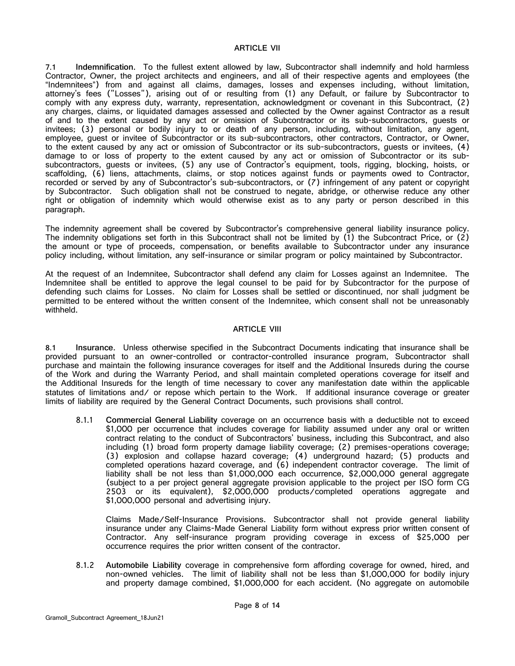### **ARTICLE VII**

**7.1 Indemnification.** To the fullest extent allowed by law, Subcontractor shall indemnify and hold harmless Contractor, Owner, the project architects and engineers, and all of their respective agents and employees (the "Indemnitees") from and against all claims, damages, losses and expenses including, without limitation, attorney's fees ("Losses"), arising out of or resulting from (1) any Default, or failure by Subcontractor to comply with any express duty, warranty, representation, acknowledgment or covenant in this Subcontract, (2) any charges, claims, or liquidated damages assessed and collected by the Owner against Contractor as a result of and to the extent caused by any act or omission of Subcontractor or its sub-subcontractors, guests or invitees; (3) personal or bodily injury to or death of any person, including, without limitation, any agent, employee, guest or invitee of Subcontractor or its sub-subcontractors, other contractors, Contractor, or Owner, to the extent caused by any act or omission of Subcontractor or its sub-subcontractors, guests or invitees, (4) damage to or loss of property to the extent caused by any act or omission of Subcontractor or its subsubcontractors, guests or invitees, (5) any use of Contractor's equipment, tools, rigging, blocking, hoists, or scaffolding, (6) liens, attachments, claims, or stop notices against funds or payments owed to Contractor, recorded or served by any of Subcontractor's sub-subcontractors, or (7) infringement of any patent or copyright by Subcontractor. Such obligation shall not be construed to negate, abridge, or otherwise reduce any other right or obligation of indemnity which would otherwise exist as to any party or person described in this paragraph.

The indemnity agreement shall be covered by Subcontractor's comprehensive general liability insurance policy. The indemnity obligations set forth in this Subcontract shall not be limited by (1) the Subcontract Price, or (2) the amount or type of proceeds, compensation, or benefits available to Subcontractor under any insurance policy including, without limitation, any self-insurance or similar program or policy maintained by Subcontractor.

At the request of an Indemnitee, Subcontractor shall defend any claim for Losses against an Indemnitee. The Indemnitee shall be entitled to approve the legal counsel to be paid for by Subcontractor for the purpose of defending such claims for Losses. No claim for Losses shall be settled or discontinued, nor shall judgment be permitted to be entered without the written consent of the Indemnitee, which consent shall not be unreasonably withheld.

#### **ARTICLE VIII**

**8.1 Insurance**. Unless otherwise specified in the Subcontract Documents indicating that insurance shall be provided pursuant to an owner-controlled or contractor-controlled insurance program, Subcontractor shall purchase and maintain the following insurance coverages for itself and the Additional Insureds during the course of the Work and during the Warranty Period, and shall maintain completed operations coverage for itself and the Additional Insureds for the length of time necessary to cover any manifestation date within the applicable statutes of limitations and/ or repose which pertain to the Work. If additional insurance coverage or greater limits of liability are required by the General Contract Documents, such provisions shall control.

8.1.1 **Commercial General Liability** coverage on an occurrence basis with a deductible not to exceed \$1,000 per occurrence that includes coverage for liability assumed under any oral or written contract relating to the conduct of Subcontractors' business, including this Subcontract, and also including (1) broad form property damage liability coverage; (2) premises-operations coverage; (3) explosion and collapse hazard coverage; (4) underground hazard; (5) products and completed operations hazard coverage, and (6) independent contractor coverage. The limit of liability shall be not less than \$1,000,000 each occurrence, \$2,000,000 general aggregate (subject to a per project general aggregate provision applicable to the project per ISO form CG 2503 or its equivalent), \$2,000,000 products/completed operations aggregate and \$1,000,000 personal and advertising injury.

Claims Made/Self-Insurance Provisions. Subcontractor shall not provide general liability insurance under any Claims-Made General Liability form without express prior written consent of Contractor. Any self-insurance program providing coverage in excess of \$25,000 per occurrence requires the prior written consent of the contractor.

8.1.2 **Automobile Liability** coverage in comprehensive form affording coverage for owned, hired, and non-owned vehicles. The limit of liability shall not be less than \$1,000,000 for bodily injury and property damage combined, \$1,000,000 for each accident. (No aggregate on automobile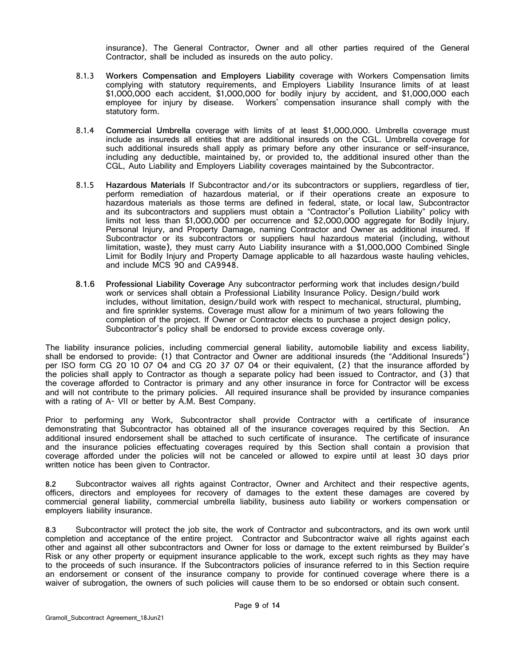insurance). The General Contractor, Owner and all other parties required of the General Contractor, shall be included as insureds on the auto policy.

- 8.1.3 **Workers Compensation and Employers Liability** coverage with Workers Compensation limits complying with statutory requirements, and Employers Liability Insurance limits of at least \$1,000,000 each accident, \$1,000,000 for bodily injury by accident, and \$1,000,000 each employee for injury by disease. Workers' compensation insurance shall comply with the statutory form.
- 8.1.4 **Commercial Umbrella** coverage with limits of at least \$1,000,000. Umbrella coverage must include as insureds all entities that are additional insureds on the CGL. Umbrella coverage for such additional insureds shall apply as primary before any other insurance or self-insurance, including any deductible, maintained by, or provided to, the additional insured other than the CGL, Auto Liability and Employers Liability coverages maintained by the Subcontractor.
- 8.1.5 **Hazardous Materials** If Subcontractor and/or its subcontractors or suppliers, regardless of tier, perform remediation of hazardous material, or if their operations create an exposure to hazardous materials as those terms are defined in federal, state, or local law, Subcontractor and its subcontractors and suppliers must obtain a "Contractor's Pollution Liability" policy with limits not less than \$1,000,000 per occurrence and \$2,000,000 aggregate for Bodily Injury, Personal Injury, and Property Damage, naming Contractor and Owner as additional insured. If Subcontractor or its subcontractors or suppliers haul hazardous material (including, without limitation, waste), they must carry Auto Liability insurance with a \$1,000,000 Combined Single Limit for Bodily Injury and Property Damage applicable to all hazardous waste hauling vehicles, and include MCS 90 and CA9948.
- **8.1.6 Professional Liability Coverage** Any subcontractor performing work that includes design/build work or services shall obtain a Professional Liability Insurance Policy. Design/build work includes, without limitation, design/build work with respect to mechanical, structural, plumbing, and fire sprinkler systems. Coverage must allow for a minimum of two years following the completion of the project. If Owner or Contractor elects to purchase a project design policy, Subcontractor's policy shall be endorsed to provide excess coverage only.

The liability insurance policies, including commercial general liability, automobile liability and excess liability, shall be endorsed to provide: (1) that Contractor and Owner are additional insureds (the "Additional Insureds") per ISO form CG 20 10 07 04 and CG 20 37 07 04 or their equivalent, (2) that the insurance afforded by the policies shall apply to Contractor as though a separate policy had been issued to Contractor, and (3) that the coverage afforded to Contractor is primary and any other insurance in force for Contractor will be excess and will not contribute to the primary policies. All required insurance shall be provided by insurance companies with a rating of A- VII or better by A.M. Best Company.

Prior to performing any Work, Subcontractor shall provide Contractor with a certificate of insurance demonstrating that Subcontractor has obtained all of the insurance coverages required by this Section. An additional insured endorsement shall be attached to such certificate of insurance. The certificate of insurance and the insurance policies effectuating coverages required by this Section shall contain a provision that coverage afforded under the policies will not be canceled or allowed to expire until at least 30 days prior written notice has been given to Contractor.

**8.2** Subcontractor waives all rights against Contractor, Owner and Architect and their respective agents, officers, directors and employees for recovery of damages to the extent these damages are covered by commercial general liability, commercial umbrella liability, business auto liability or workers compensation or employers liability insurance.

**8.3** Subcontractor will protect the job site, the work of Contractor and subcontractors, and its own work until completion and acceptance of the entire project. Contractor and Subcontractor waive all rights against each other and against all other subcontractors and Owner for loss or damage to the extent reimbursed by Builder's Risk or any other property or equipment insurance applicable to the work, except such rights as they may have to the proceeds of such insurance. If the Subcontractors policies of insurance referred to in this Section require an endorsement or consent of the insurance company to provide for continued coverage where there is a waiver of subrogation, the owners of such policies will cause them to be so endorsed or obtain such consent.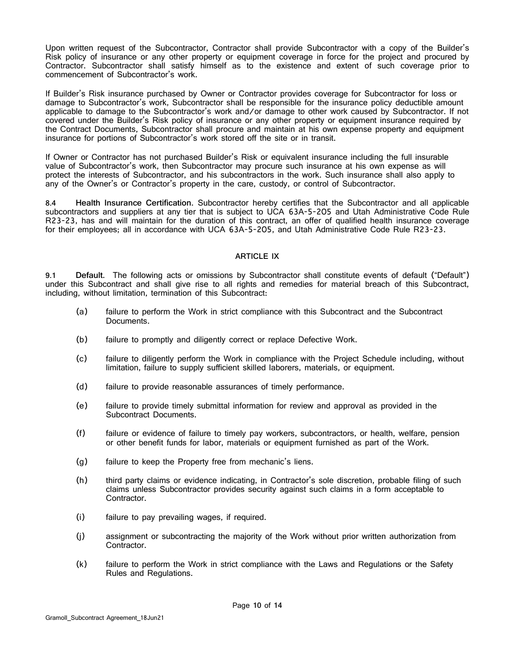Upon written request of the Subcontractor, Contractor shall provide Subcontractor with a copy of the Builder's Risk policy of insurance or any other property or equipment coverage in force for the project and procured by Contractor. Subcontractor shall satisfy himself as to the existence and extent of such coverage prior to commencement of Subcontractor's work.

If Builder's Risk insurance purchased by Owner or Contractor provides coverage for Subcontractor for loss or damage to Subcontractor's work, Subcontractor shall be responsible for the insurance policy deductible amount applicable to damage to the Subcontractor's work and/or damage to other work caused by Subcontractor. If not covered under the Builder's Risk policy of insurance or any other property or equipment insurance required by the Contract Documents, Subcontractor shall procure and maintain at his own expense property and equipment insurance for portions of Subcontractor's work stored off the site or in transit.

If Owner or Contractor has not purchased Builder's Risk or equivalent insurance including the full insurable value of Subcontractor's work, then Subcontractor may procure such insurance at his own expense as will protect the interests of Subcontractor, and his subcontractors in the work. Such insurance shall also apply to any of the Owner's or Contractor's property in the care, custody, or control of Subcontractor.

**8.4 Health Insurance Certification.** Subcontractor hereby certifies that the Subcontractor and all applicable subcontractors and suppliers at any tier that is subject to UCA 63A-5-205 and Utah Administrative Code Rule R23-23, has and will maintain for the duration of this contract, an offer of qualified health insurance coverage for their employees; all in accordance with UCA 63A-5-205, and Utah Administrative Code Rule R23-23.

#### **ARTICLE IX**

**9.1 Default.** The following acts or omissions by Subcontractor shall constitute events of default ("Default") under this Subcontract and shall give rise to all rights and remedies for material breach of this Subcontract, including, without limitation, termination of this Subcontract:

- (a) failure to perform the Work in strict compliance with this Subcontract and the Subcontract Documents.
- (b) failure to promptly and diligently correct or replace Defective Work.
- (c) failure to diligently perform the Work in compliance with the Project Schedule including, without limitation, failure to supply sufficient skilled laborers, materials, or equipment.
- (d) failure to provide reasonable assurances of timely performance.
- (e) failure to provide timely submittal information for review and approval as provided in the Subcontract Documents.
- (f) failure or evidence of failure to timely pay workers, subcontractors, or health, welfare, pension or other benefit funds for labor, materials or equipment furnished as part of the Work.
- (g) failure to keep the Property free from mechanic's liens.
- (h) third party claims or evidence indicating, in Contractor's sole discretion, probable filing of such claims unless Subcontractor provides security against such claims in a form acceptable to Contractor.
- (i) failure to pay prevailing wages, if required.
- (j) assignment or subcontracting the majority of the Work without prior written authorization from Contractor.
- (k) failure to perform the Work in strict compliance with the Laws and Regulations or the Safety Rules and Regulations.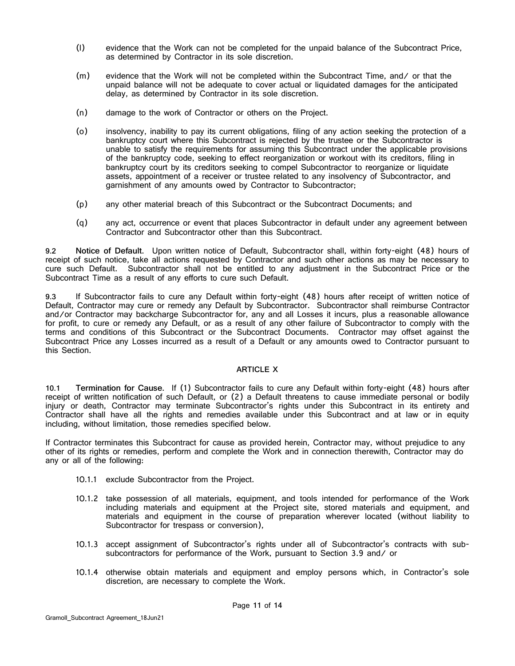- (l) evidence that the Work can not be completed for the unpaid balance of the Subcontract Price, as determined by Contractor in its sole discretion.
- (m) evidence that the Work will not be completed within the Subcontract Time, and/ or that the unpaid balance will not be adequate to cover actual or liquidated damages for the anticipated delay, as determined by Contractor in its sole discretion.
- (n) damage to the work of Contractor or others on the Project.
- (o) insolvency, inability to pay its current obligations, filing of any action seeking the protection of a bankruptcy court where this Subcontract is rejected by the trustee or the Subcontractor is unable to satisfy the requirements for assuming this Subcontract under the applicable provisions of the bankruptcy code, seeking to effect reorganization or workout with its creditors, filing in bankruptcy court by its creditors seeking to compel Subcontractor to reorganize or liquidate assets, appointment of a receiver or trustee related to any insolvency of Subcontractor, and garnishment of any amounts owed by Contractor to Subcontractor;
- (p) any other material breach of this Subcontract or the Subcontract Documents; and
- (q) any act, occurrence or event that places Subcontractor in default under any agreement between Contractor and Subcontractor other than this Subcontract.

**9.2 Notice of Default.** Upon written notice of Default, Subcontractor shall, within forty-eight (48) hours of receipt of such notice, take all actions requested by Contractor and such other actions as may be necessary to cure such Default. Subcontractor shall not be entitled to any adjustment in the Subcontract Price or the Subcontract Time as a result of any efforts to cure such Default.

**9.3** If Subcontractor fails to cure any Default within forty-eight (48) hours after receipt of written notice of Default, Contractor may cure or remedy any Default by Subcontractor. Subcontractor shall reimburse Contractor and/or Contractor may backcharge Subcontractor for, any and all Losses it incurs, plus a reasonable allowance for profit, to cure or remedy any Default, or as a result of any other failure of Subcontractor to comply with the terms and conditions of this Subcontract or the Subcontract Documents. Contractor may offset against the Subcontract Price any Losses incurred as a result of a Default or any amounts owed to Contractor pursuant to this Section.

#### **ARTICLE X**

<span id="page-14-0"></span>**10.1 Termination for Cause.** If (1) Subcontractor fails to cure any Default within forty-eight (48) hours after receipt of written notification of such Default, or (2) a Default threatens to cause immediate personal or bodily injury or death, Contractor may terminate Subcontractor's rights under this Subcontract in its entirety and Contractor shall have all the rights and remedies available under this Subcontract and at law or in equity including, without limitation, those remedies specified below.

If Contractor terminates this Subcontract for cause as provided herein, Contractor may, without prejudice to any other of its rights or remedies, perform and complete the Work and in connection therewith, Contractor may do any or all of the following:

- 10.1.1 exclude Subcontractor from the Project.
- 10.1.2 take possession of all materials, equipment, and tools intended for performance of the Work including materials and equipment at the Project site, stored materials and equipment, and materials and equipment in the course of preparation wherever located (without liability to Subcontractor for trespass or conversion),
- 10.1.3 accept assignment of Subcontractor's rights under all of Subcontractor's contracts with subsubcontractors for performance of the Work, pursuant to Section [3.9](#page-7-0) and/ or
- 10.1.4 otherwise obtain materials and equipment and employ persons which, in Contractor's sole discretion, are necessary to complete the Work.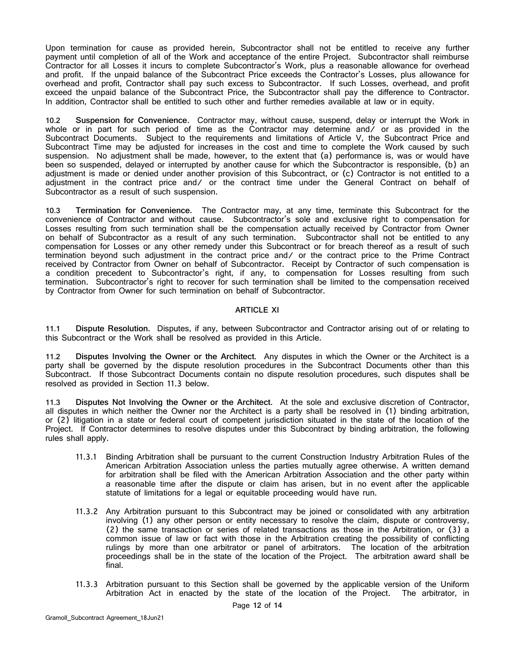Upon termination for cause as provided herein, Subcontractor shall not be entitled to receive any further payment until completion of all of the Work and acceptance of the entire Project. Subcontractor shall reimburse Contractor for all Losses it incurs to complete Subcontractor's Work, plus a reasonable allowance for overhead and profit. If the unpaid balance of the Subcontract Price exceeds the Contractor's Losses, plus allowance for overhead and profit, Contractor shall pay such excess to Subcontractor. If such Losses, overhead, and profit exceed the unpaid balance of the Subcontract Price, the Subcontractor shall pay the difference to Contractor. In addition, Contractor shall be entitled to such other and further remedies available at law or in equity.

**10.2 Suspension for Convenience.** Contractor may, without cause, suspend, delay or interrupt the Work in whole or in part for such period of time as the Contractor may determine and/ or as provided in the Subcontract Documents. Subject to the requirements and limitations of [Article V,](#page-8-0) the Subcontract Price and Subcontract Time may be adjusted for increases in the cost and time to complete the Work caused by such suspension. No adjustment shall be made, however, to the extent that (a) performance is, was or would have been so suspended, delayed or interrupted by another cause for which the Subcontractor is responsible, (b) an adjustment is made or denied under another provision of this Subcontract, or (c) Contractor is not entitled to a adjustment in the contract price and/ or the contract time under the General Contract on behalf of Subcontractor as a result of such suspension.

**10.3 Termination for Convenience.** The Contractor may, at any time, terminate this Subcontract for the convenience of Contractor and without cause. Subcontractor's sole and exclusive right to compensation for Losses resulting from such termination shall be the compensation actually received by Contractor from Owner on behalf of Subcontractor as a result of any such termination. Subcontractor shall not be entitled to any compensation for Losses or any other remedy under this Subcontract or for breach thereof as a result of such termination beyond such adjustment in the contract price and/ or the contract price to the Prime Contract received by Contractor from Owner on behalf of Subcontractor. Receipt by Contractor of such compensation is a condition precedent to Subcontractor's right, if any, to compensation for Losses resulting from such termination. Subcontractor's right to recover for such termination shall be limited to the compensation received by Contractor from Owner for such termination on behalf of Subcontractor.

#### **ARTICLE XI**

**11.1 Dispute Resolution.** Disputes, if any, between Subcontractor and Contractor arising out of or relating to this Subcontract or the Work shall be resolved as provided in this Article.

**11.2 Disputes Involving the Owner or the Architect.** Any disputes in which the Owner or the Architect is a party shall be governed by the dispute resolution procedures in the Subcontract Documents other than this Subcontract. If those Subcontract Documents contain no dispute resolution procedures, such disputes shall be resolved as provided in Section [11.3](#page--1-1) below.

**11.3 Disputes Not Involving the Owner or the Architect.** At the sole and exclusive discretion of Contractor, all disputes in which neither the Owner nor the Architect is a party shall be resolved in (1) binding arbitration, or (2) litigation in a state or federal court of competent jurisdiction situated in the state of the location of the Project. If Contractor determines to resolve disputes under this Subcontract by binding arbitration, the following rules shall apply.

- 11.3.1 Binding Arbitration shall be pursuant to the current Construction Industry Arbitration Rules of the American Arbitration Association unless the parties mutually agree otherwise. A written demand for arbitration shall be filed with the American Arbitration Association and the other party within a reasonable time after the dispute or claim has arisen, but in no event after the applicable statute of limitations for a legal or equitable proceeding would have run.
- 11.3.2 Any Arbitration pursuant to this Subcontract may be joined or consolidated with any arbitration involving (1) any other person or entity necessary to resolve the claim, dispute or controversy, (2) the same transaction or series of related transactions as those in the Arbitration, or (3) a common issue of law or fact with those in the Arbitration creating the possibility of conflicting rulings by more than one arbitrator or panel of arbitrators. The location of the arbitration proceedings shall be in the state of the location of the Project. The arbitration award shall be final.
- 11.3.3 Arbitration pursuant to this Section shall be governed by the applicable version of the Uniform Arbitration Act in enacted by the state of the location of the Project. The arbitrator, in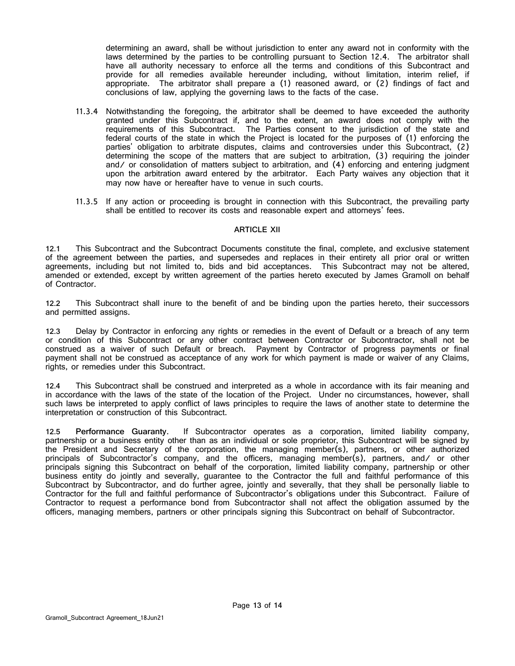determining an award, shall be without jurisdiction to enter any award not in conformity with the laws determined by the parties to be controlling pursuant to Section [12.4.](#page-16-1) The arbitrator shall have all authority necessary to enforce all the terms and conditions of this Subcontract and provide for all remedies available hereunder including, without limitation, interim relief, if appropriate. The arbitrator shall prepare a (1) reasoned award, or (2) findings of fact and conclusions of law, applying the governing laws to the facts of the case.

- 11.3.4 Notwithstanding the foregoing, the arbitrator shall be deemed to have exceeded the authority granted under this Subcontract if, and to the extent, an award does not comply with the requirements of this Subcontract. The Parties consent to the jurisdiction of the state and federal courts of the state in which the Project is located for the purposes of (1) enforcing the parties' obligation to arbitrate disputes, claims and controversies under this Subcontract, (2) determining the scope of the matters that are subject to arbitration, (3) requiring the joinder and/ or consolidation of matters subject to arbitration, and (4) enforcing and entering judgment upon the arbitration award entered by the arbitrator. Each Party waives any objection that it may now have or hereafter have to venue in such courts.
- 11.3.5 If any action or proceeding is brought in connection with this Subcontract, the prevailing party shall be entitled to recover its costs and reasonable expert and attorneys' fees.

#### **ARTICLE XII**

<span id="page-16-0"></span>**12.1** This Subcontract and the Subcontract Documents constitute the final, complete, and exclusive statement of the agreement between the parties, and supersedes and replaces in their entirety all prior oral or written agreements, including but not limited to, bids and bid acceptances. This Subcontract may not be altered, amended or extended, except by written agreement of the parties hereto executed by James Gramoll on behalf of Contractor.

**12.2** This Subcontract shall inure to the benefit of and be binding upon the parties hereto, their successors and permitted assigns.

**12.3** Delay by Contractor in enforcing any rights or remedies in the event of Default or a breach of any term or condition of this Subcontract or any other contract between Contractor or Subcontractor, shall not be construed as a waiver of such Default or breach. Payment by Contractor of progress payments or final payment shall not be construed as acceptance of any work for which payment is made or waiver of any Claims, rights, or remedies under this Subcontract.

<span id="page-16-1"></span>**12.4** This Subcontract shall be construed and interpreted as a whole in accordance with its fair meaning and in accordance with the laws of the state of the location of the Project. Under no circumstances, however, shall such laws be interpreted to apply conflict of laws principles to require the laws of another state to determine the interpretation or construction of this Subcontract.

**12.5 Performance Guaranty.** If Subcontractor operates as a corporation, limited liability company, partnership or a business entity other than as an individual or sole proprietor, this Subcontract will be signed by the President and Secretary of the corporation, the managing member(s), partners, or other authorized principals of Subcontractor's company, and the officers, managing member(s), partners, and/ or other principals signing this Subcontract on behalf of the corporation, limited liability company, partnership or other business entity do jointly and severally, guarantee to the Contractor the full and faithful performance of this Subcontract by Subcontractor, and do further agree, jointly and severally, that they shall be personally liable to Contractor for the full and faithful performance of Subcontractor's obligations under this Subcontract. Failure of Contractor to request a performance bond from Subcontractor shall not affect the obligation assumed by the officers, managing members, partners or other principals signing this Subcontract on behalf of Subcontractor.